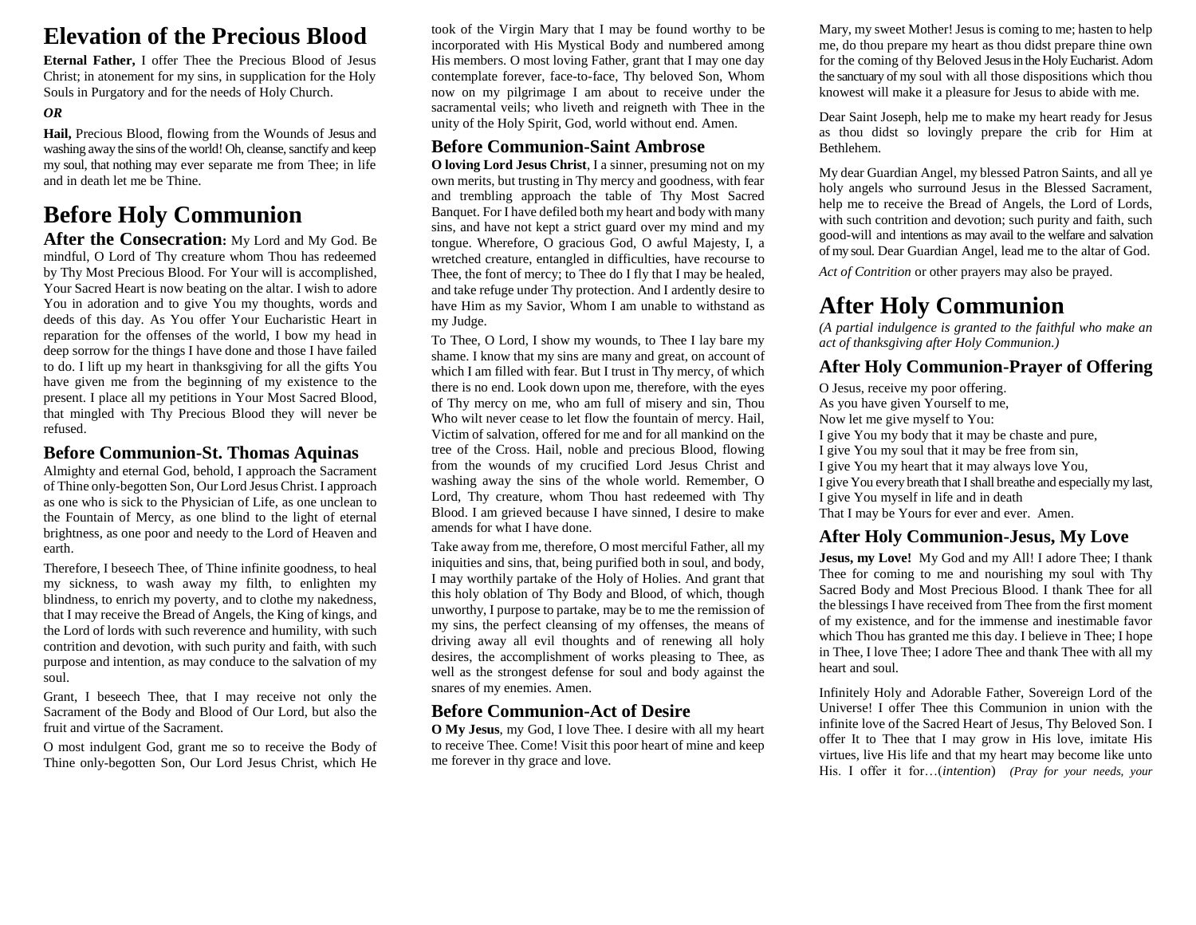# **Elevation of the Precious Blood**

**Eternal Father,** I offer Thee the Precious Blood of Jesus Christ; in atonement for my sins, in supplication for the Holy Souls in Purgatory and for the needs of Holy Church.

#### *OR*

**Hail,** Precious Blood, flowing from the Wounds of Jesus and washing away the sins of the world! Oh, cleanse, sanctify and keep my soul, that nothing may ever separate me from Thee; in life and in death let me be Thine.

# **Before Holy Communion**

After the Consecration: My Lord and My God. Be mindful, O Lord of Thy creature whom Thou has redeemed by Thy Most Precious Blood. For Your will is accomplished, Your Sacred Heart is now beating on the altar. I wish to adore You in adoration and to give You my thoughts, words and deeds of this day. As You offer Your Eucharistic Heart in reparation for the offenses of the world, I bow my head in deep sorrow for the things I have done and those I have failed to do. I lift up my heart in thanksgiving for all the gifts You have given me from the beginning of my existence to the present. I place all my petitions in Your Most Sacred Blood, that mingled with Thy Precious Blood they will never be refused.

#### **Before Communion-St. Thomas Aquinas**

Almighty and eternal God, behold, I approach the Sacrament of Thine only-begotten Son, Our Lord Jesus Christ. I approach as one who is sick to the Physician of Life, as one unclean to the Fountain of Mercy, as one blind to the light of eternal brightness, as one poor and needy to the Lord of Heaven and earth.

Therefore, I beseech Thee, of Thine infinite goodness, to heal my sickness, to wash away my filth, to enlighten my blindness, to enrich my poverty, and to clothe my nakedness, that I may receive the Bread of Angels, the King of kings, and the Lord of lords with such reverence and humility, with such contrition and devotion, with such purity and faith, with such purpose and intention, as may conduce to the salvation of my soul.

Grant, I beseech Thee, that I may receive not only the Sacrament of the Body and Blood of Our Lord, but also the fruit and virtue of the Sacrament.

O most indulgent God, grant me so to receive the Body of Thine only-begotten Son, Our Lord Jesus Christ, which He took of the Virgin Mary that I may be found worthy to be incorporated with His Mystical Body and numbered among His members. O most loving Father, grant that I may one day contemplate forever, face-to-face, Thy beloved Son, Whom now on my pilgrimage I am about to receive under the sacramental veils; who liveth and reigneth with Thee in the unity of the Holy Spirit, God, world without end. Amen.

### **Before Communion-Saint Ambrose**

**O loving Lord Jesus Christ**, I a sinner, presuming not on my own merits, but trusting in Thy mercy and goodness, with fear and trembling approach the table of Thy Most Sacred Banquet. For I have defiled both my heart and body with many sins, and have not kept a strict guard over my mind and my tongue. Wherefore, O gracious God, O awful Majesty, I, a wretched creature, entangled in difficulties, have recourse to Thee, the font of mercy; to Thee do I fly that I may be healed, and take refuge under Thy protection. And I ardently desire to have Him as my Savior, Whom I am unable to withstand as my Judge.

To Thee, O Lord, I show my wounds, to Thee I lay bare my shame. I know that my sins are many and great, on account of which I am filled with fear. But I trust in Thy mercy, of which there is no end. Look down upon me, therefore, with the eyes of Thy mercy on me, who am full of misery and sin, Thou Who wilt never cease to let flow the fountain of mercy. Hail, Victim of salvation, offered for me and for all mankind on the tree of the Cross. Hail, noble and precious Blood, flowing from the wounds of my crucified Lord Jesus Christ and washing away the sins of the whole world. Remember, O Lord, Thy creature, whom Thou hast redeemed with Thy Blood. I am grieved because I have sinned, I desire to make amends for what I have done.

Take away from me, therefore, O most merciful Father, all my iniquities and sins, that, being purified both in soul, and body, I may worthily partake of the Holy of Holies. And grant that this holy oblation of Thy Body and Blood, of which, though unworthy, I purpose to partake, may be to me the remission of my sins, the perfect cleansing of my offenses, the means of driving away all evil thoughts and of renewing all holy desires, the accomplishment of works pleasing to Thee, as well as the strongest defense for soul and body against the snares of my enemies. Amen.

#### **Before Communion-Act of Desire**

**O My Jesus**, my God, I love Thee. I desire with all my heart to receive Thee. Come! Visit this poor heart of mine and keep me forever in thy grace and love.

Mary, my sweet Mother! Jesus is coming to me; hasten to help me, do thou prepare my heart as thou didst prepare thine own for the coming of thy Beloved Jesus in the Holy Eucharist. Adorn the sanctuary of my soul with all those dispositions which thou knowest will make it a pleasure for Jesus to abide with me.

Dear Saint Joseph, help me to make my heart ready for Jesus as thou didst so lovingly prepare the crib for Him at Bethlehem.

My dear Guardian Angel, my blessed Patron Saints, and all ye holy angels who surround Jesus in the Blessed Sacrament, help me to receive the Bread of Angels, the Lord of Lords, with such contrition and devotion; such purity and faith, such good-will and intentions as may avail to the welfare and salvation of my soul. Dear Guardian Angel, lead me to the altar of God.

*Act of Contrition* or other prayers may also be prayed.

# **After Holy Communion**

*(A partial indulgence is granted to the faithful who make an act of thanksgiving after Holy Communion.)*

### **After Holy Communion-Prayer of Offering**

O Jesus, receive my poor offering. As you have given Yourself to me, Now let me give myself to You: I give You my body that it may be chaste and pure, I give You my soul that it may be free from sin, I give You my heart that it may always love You, I give You every breath that I shall breathe and especially my last, I give You myself in life and in death That I may be Yours for ever and ever. Amen.

### **After Holy Communion-Jesus, My Love**

**Jesus, my Love!** My God and my All! I adore Thee; I thank Thee for coming to me and nourishing my soul with Thy Sacred Body and Most Precious Blood. I thank Thee for all the blessings I have received from Thee from the first moment of my existence, and for the immense and inestimable favor which Thou has granted me this day. I believe in Thee; I hope in Thee, I love Thee; I adore Thee and thank Thee with all my heart and soul.

Infinitely Holy and Adorable Father, Sovereign Lord of the Universe! I offer Thee this Communion in union with the infinite love of the Sacred Heart of Jesus, Thy Beloved Son. I offer It to Thee that I may grow in His love, imitate His virtues, live His life and that my heart may become like unto His. I offer it for…(*intention*) *(Pray for your needs, your*